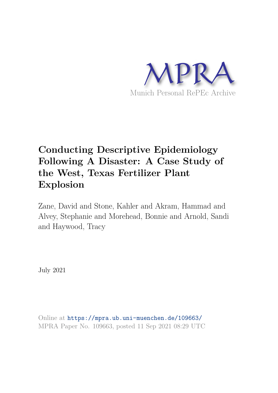

## **Conducting Descriptive Epidemiology Following A Disaster: A Case Study of the West, Texas Fertilizer Plant Explosion**

Zane, David and Stone, Kahler and Akram, Hammad and Alvey, Stephanie and Morehead, Bonnie and Arnold, Sandi and Haywood, Tracy

July 2021

Online at https://mpra.ub.uni-muenchen.de/109663/ MPRA Paper No. 109663, posted 11 Sep 2021 08:29 UTC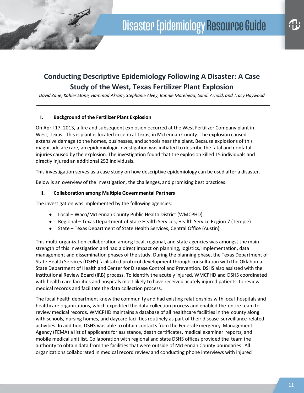### **Conducting Descriptive Epidemiology Following A Disaster: A Case Study of the West, Texas Fertilizer Plant Explosion**

*David Zane, Kahler Stone, Hammad Akram, Stephanie Alvey, Bonnie Morehead, Sandi Arnold, and Tracy Haywood*

#### **I. Background of the Fertilizer Plant Explosion**

On April 17, 2013, a fire and subsequent explosion occurred at the West Fertilizer Company plant in West, Texas. This is plant is located in central Texas, in McLennan County. The explosion caused extensive damage to the homes, businesses, and schools near the plant. Because explosions of this magnitude are rare, an epidemiologic investigation was initiated to describe the fatal and nonfatal injuries caused by the explosion. The investigation found that the explosion killed 15 individuals and directly injured an additional 252 individuals.

This investigation serves as a case study on how descriptive epidemiology can be used after a disaster.

Below is an overview of the investigation, the challenges, and promising best practices.

#### **II. Collaboration among Multiple Governmental Partners**

The investigation was implemented by the following agencies:

- Local Waco/McLennan County Public Health District (WMCPHD)
- Regional Texas Department of State Health Services, Health Service Region 7 (Temple)
- State Texas Department of State Health Services, Central Office (Austin)

This multi-organization collaboration among local, regional, and state agencies was amongst the main strength of this investigation and had a direct impact on planning, logistics, implementation, data management and dissemination phases of the study. During the planning phase, the Texas Department of State Health Services (DSHS) facilitated protocol development through consultation with the Oklahoma State Department of Health and Center for Disease Control and Prevention. DSHS also assisted with the Institutional Review Board (IRB) process. To identify the acutely injured, WMCPHD and DSHS coordinated with health care facilities and hospitals most likely to have received acutely injured patients to review medical records and facilitate the data collection process.

The local health department knew the community and had existing relationships with local hospitals and healthcare organizations, which expedited the data collection process and enabled the entire team to review medical records. WMCPHD maintains a database of all healthcare facilities in the county along with schools, nursing homes, and daycare facilities routinely as part of their disease surveillance-related activities. In addition, DSHS was able to obtain contacts from the Federal Emergency Management Agency (FEMA) a list of applicants for assistance, death certificates, medical examiner reports, and mobile medical unit list. Collaboration with regional and state DSHS offices provided the team the authority to obtain data from the facilities that were outside of McLennan County boundaries. All organizations collaborated in medical record review and conducting phone interviews with injured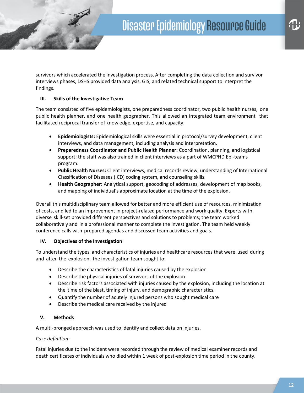survivors which accelerated the investigation process. After completing the data collection and survivor interviews phases, DSHS provided data analysis, GIS, and related technical support to interpret the findings.

#### **III. Skills of the Investigative Team**

The team consisted of five epidemiologists, one preparedness coordinator, two public health nurses, one public health planner, and one health geographer. This allowed an integrated team environment that facilitated reciprocal transfer of knowledge, expertise, and capacity.

- **Epidemiologists:** Epidemiological skills were essential in protocol/survey development, client interviews, and data management, including analysis and interpretation.
- **Preparedness Coordinator and Public Health Planner:** Coordination, planning, and logistical support; the staff was also trained in client interviews as a part of WMCPHD Epi-teams program.
- **Public Health Nurses:** Client interviews, medical records review, understanding of International Classification of Diseases (ICD) coding system, and counseling skills.
- **Health Geographer:** Analytical support, geocoding of addresses, development of map books, and mapping of individual's approximate location at the time of the explosion.

Overall this multidisciplinary team allowed for better and more efficient use of resources, minimization of costs, and led to an improvement in project-related performance and work quality. Experts with diverse skill-set provided different perspectives and solutions to problems; the team worked collaboratively and in a professional manner to complete the investigation. The team held weekly conference calls with prepared agendas and discussed team activities and goals.

#### **IV. Objectives of the Investigation**

To understand the types and characteristics of injuries and healthcare resources that were used during and after the explosion, the investigation team sought to:

- Describe the characteristics of fatal injuries caused by the explosion
- Describe the physical injuries of survivors of the explosion
- Describe risk factors associated with injuries caused by the explosion, including the location at the time of the blast, timing of injury, and demographic characteristics.
- Quantify the number of acutely injured persons who sought medical care
- Describe the medical care received by the injured

#### **V. Methods**

A multi-pronged approach was used to identify and collect data on injuries.

#### *Case definition:*

Fatal injuries due to the incident were recorded through the review of medical examiner records and death certificates of individuals who died within 1 week of post-explosion time period in the county.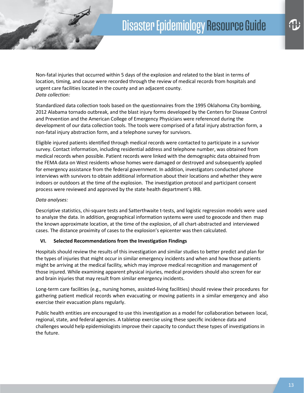# **Disaster Epidemiology Resource Guide**

Non-fatal injuries that occurred within 5 days of the explosion and related to the blast in terms of location, timing, and cause were recorded through the review of medical records from hospitals and urgent care facilities located in the county and an adjacent county. *Data collection:*

Standardized data collection tools based on the questionnaires from the 1995 Oklahoma City bombing, 2012 Alabama tornado outbreak, and the blast injury forms developed by the Centers for Disease Control and Prevention and the American College of Emergency Physicians were referenced during the development of our data collection tools. The tools were comprised of a fatal injury abstraction form, a non-fatal injury abstraction form, and a telephone survey for survivors.

Eligible injured patients identified through medical records were contacted to participate in a survivor survey. Contact information, including residential address and telephone number, was obtained from medical records when possible. Patient records were linked with the demographic data obtained from the FEMA data on West residents whose homes were damaged or destroyed and subsequently applied for emergency assistance from the federal government. In addition, investigators conducted phone interviews with survivors to obtain additional information about their locations and whether they were indoors or outdoors at the time of the explosion. The investigation protocol and participant consent process were reviewed and approved by the state health department's IRB.

#### *Data analyses:*

Descriptive statistics, chi-square tests and Satterthwaite t-tests, and logistic regression models were used to analyze the data. In addition, geographical information systems were used to geocode and then map the known approximate location, at the time of the explosion, of all chart-abstracted and interviewed cases. The distance proximity of cases to the explosion's epicenter was then calculated.

#### **VI. Selected Recommendations from the Investigation Findings**

Hospitals should review the results of this investigation and similar studies to better predict and plan for the types of injuries that might occur in similar emergency incidents and when and how those patients might be arriving at the medical facility, which may improve medical recognition and management of those injured. While examining apparent physical injuries, medical providers should also screen for ear and brain injuries that may result from similar emergency incidents.

Long-term care facilities (e.g., nursing homes, assisted-living facilities) should review their procedures for gathering patient medical records when evacuating or moving patients in a similar emergency and also exercise their evacuation plans regularly.

Public health entities are encouraged to use this investigation as a model for collaboration between local, regional, state, and federal agencies. A tabletop exercise using these specific incidence data and challenges would help epidemiologists improve their capacity to conduct these types of investigations in the future.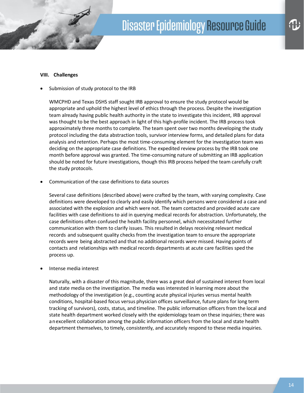

#### **VIII. Challenges**

Submission of study protocol to the IRB

WMCPHD and Texas DSHS staff sought IRB approval to ensure the study protocol would be appropriate and uphold the highest level of ethics through the process. Despite the investigation team already having public health authority in the state to investigate this incident, IRB approval was thought to be the best approach in light of this high-profile incident. The IRB process took approximately three months to complete. The team spent over two months developing the study protocol including the data abstraction tools, survivor interview forms, and detailed plans for data analysis and retention. Perhaps the most time-consuming element for the investigation team was deciding on the appropriate case definitions. The expedited review process by the IRB took one month before approval was granted. The time-consuming nature of submitting an IRB application should be noted for future investigations, though this IRB process helped the team carefully craft the study protocols.

• Communication of the case definitions to data sources

Several case definitions (described above) were crafted by the team, with varying complexity. Case definitions were developed to clearly and easily identify which persons were considered a case and associated with the explosion and which were not. The team contacted and provided acute care facilities with case definitions to aid in querying medical records for abstraction. Unfortunately, the case definitions often confused the health facility personnel, which necessitated further communication with them to clarify issues. This resulted in delays receiving relevant medical records and subsequent quality checks from the investigation team to ensure the appropriate records were being abstracted and that no additional records were missed. Having points of contacts and relationships with medical records departments at acute care facilities sped the process up.

• Intense media interest

Naturally, with a disaster of this magnitude, there was a great deal of sustained interest from local and state media on the investigation. The media was interested in learning more about the methodology of the investigation (e.g., counting acute physical injuries versus mental health conditions, hospital-based focus versus physician offices surveillance, future plans for long term tracking of survivors), costs, status, and timeline. The public information officers from the local and state health department worked closely with the epidemiology team on these inquiries; there was anexcellent collaboration among the public information officers from the local and state health department themselves, to timely, consistently, and accurately respond to these media inquiries.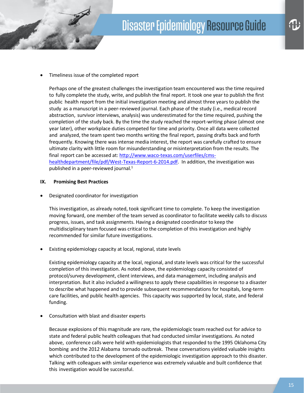• Timeliness issue of the completed report

Perhaps one of the greatest challenges the investigation team encountered was the time required to fully complete the study, write, and publish the final report. It took one year to publish the first public health report from the initial investigation meeting and almost three years to publish the study as a manuscript in a peer-reviewed journal. Each phase of the study (i.e., medical record abstraction, survivor interviews, analysis) was underestimated for the time required, pushing the completion of the study back. By the time the study reached the report-writing phase (almost one year later), other workplace duties competed for time and priority. Once all data were collected and analyzed, the team spent two months writing the final report, passing drafts back and forth frequently. Knowing there was intense media interest, the report was carefully crafted to ensure ultimate clarity with little room for misunderstanding or misinterpretation from the results. The final report can be accessed at[: http://www.waco-texas.com/userfiles/cms](http://www.waco-texas.com/userfiles/cms-)healthdepartment/file/pdf/West-Texas-Report-6-2014.pdf. In addition, the investigation was published in a peer-reviewed journal. $<sup>1</sup>$ </sup>

#### **IX. Promising Best Practices**

• Designated coordinator for investigation

This investigation, as already noted, took significant time to complete. To keep the investigation moving forward, one member of the team served as coordinator to facilitate weekly calls to discuss progress, issues, and task assignments. Having a designated coordinator to keep the multidisciplinary team focused was critical to the completion of this investigation and highly recommended for similar future investigations.

Existing epidemiology capacity at local, regional, state levels

Existing epidemiology capacity at the local, regional, and state levels was critical for the successful completion of this investigation. As noted above, the epidemiology capacity consisted of protocol/survey development, client interviews, and data management, including analysis and interpretation. But it also included a willingness to apply these capabilities in response to a disaster to describe what happened and to provide subsequent recommendations for hospitals, long-term care facilities, and public health agencies. This capacity was supported by local, state, and federal funding.

• Consultation with blast and disaster experts

Because explosions of this magnitude are rare, the epidemiologic team reached out for advice to state and federal public health colleagues that had conducted similar investigations. As noted above, conference calls were held with epidemiologists that responded to the 1995 Oklahoma City bombing and the 2012 Alabama tornado outbreak. These conversations yielded valuable insights which contributed to the development of the epidemiologic investigation approach to this disaster. Talking with colleagues with similar experience was extremely valuable and built confidence that this investigation would be successful.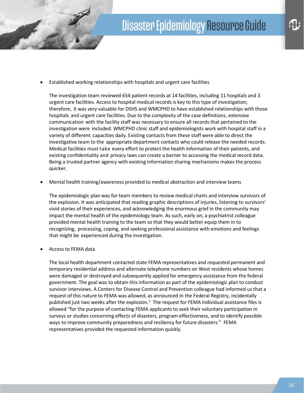

• Established working relationships with hospitals and urgent care facilities

The investigation team reviewed 654 patient records at 14 facilities, including 11 hospitals and 3 urgent care facilities. Access to hospital medical records is key to this type of investigation; therefore, it was very valuable for DSHS and WMCPHD to have established relationships with those hospitals and urgent care facilities. Due to the complexity of the case definitions, extensive communication with the facility staff was necessary to ensure all records that pertained to the investigation were included. WMCPHD clinic staff and epidemiologists work with hospital staff in a variety of different capacities daily. Existing contacts from these staff were able to direct the investigative team to the appropriate department contacts who could release the needed records. Medical facilities must take every effort to protect the health information of their patients, and existing confidentiality and privacy laws can create a barrier to accessing the medical record data. Being a trusted partner agency with existing information sharing mechanisms makes the process quicker.

• Mental health training/awareness provided to medical abstraction and interview teams

The epidemiologic plan was for team members to review medical charts and interview survivors of the explosion. It was anticipated that reading graphic descriptions of injuries, listening to survivors' vivid stories of their experiences, and acknowledging the enormous grief in the community may impact the mental health of the epidemiology team. As such, early on, a psychiatrist colleague provided mental health training to the team so that they would better equip them in to recognizing, processing, coping, and seeking professional assistance with emotions and feelings that might be experienced during the investigation.

• Access to FEMA data

The local health department contacted state FEMA representatives and requested permanent and temporary residential address and alternate telephone numbers on West residents whose homes were damaged or destroyed and subsequently applied for emergency assistance from the federal government. The goal was to obtain this information as part of the epidemiologic plan to conduct survivor interviews. A Centers for Disease Control and Prevention colleague had informed us that a request of this nature to FEMA was allowed, as announced in the Federal Registry, incidentally published just two weeks after the explosion.<sup>2</sup> The request for FEMA individual assistance files is allowed "for the purpose of contacting FEMA applicants to seek their voluntary participation in surveys or studies concerning effects of disasters, program effectiveness, and to identify possible ways to improve community preparedness and resiliency for future disasters." FEMA representatives provided the requested information quickly.